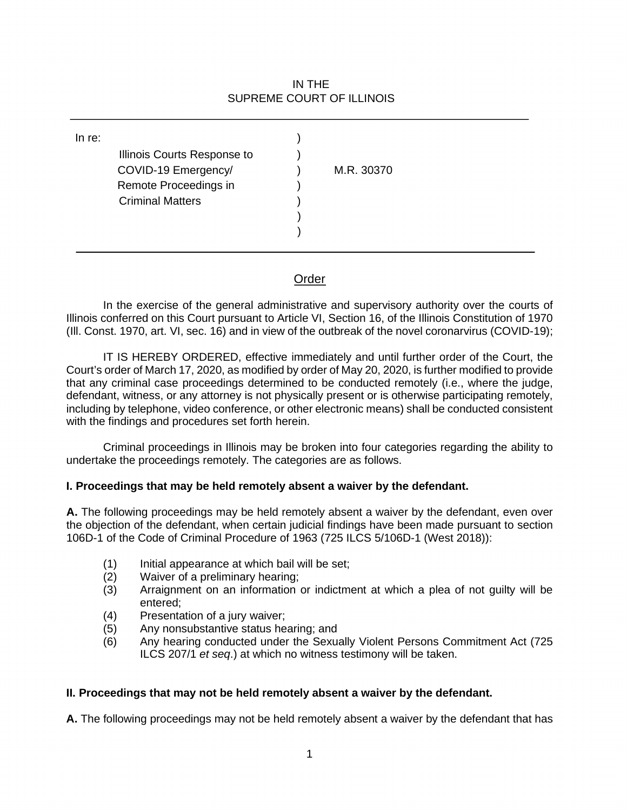## IN THE SUPREME COURT OF ILLINOIS

| In re: | Illinois Courts Response to<br>COVID-19 Emergency/<br>Remote Proceedings in<br><b>Criminal Matters</b> |  | M.R. 30370 |
|--------|--------------------------------------------------------------------------------------------------------|--|------------|
|--------|--------------------------------------------------------------------------------------------------------|--|------------|

# Order

 (Ill. Const. 1970, art. VI, sec. 16) and in view of the outbreak of the novel coronarvirus (COVID-19); In the exercise of the general administrative and supervisory authority over the courts of Illinois conferred on this Court pursuant to Article VI, Section 16, of the Illinois Constitution of 1970

 Court's order of March 17, 2020, as modified by order of May 20, 2020, is further modified to provide that any criminal case proceedings determined to be conducted remotely (i.e., where the judge, including by telephone, video conference, or other electronic means) shall be conducted consistent with the findings and procedures set forth herein. IT IS HEREBY ORDERED, effective immediately and until further order of the Court, the defendant, witness, or any attorney is not physically present or is otherwise participating remotely,

 undertake the proceedings remotely. The categories are as follows. Criminal proceedings in Illinois may be broken into four categories regarding the ability to

## I. Proceedings that may be held remotely absent a waiver by the defendant.

 the objection of the defendant, when certain judicial findings have been made pursuant to section **A.** The following proceedings may be held remotely absent a waiver by the defendant, even over 106D-1 of the Code of Criminal Procedure of 1963 (725 ILCS 5/106D-1 (West 2018)):

- (1) Initial appearance at which bail will be set;
- (2) Waiver of a preliminary hearing;
- (3) Arraignment on an information or indictment at which a plea of not guilty will be entered;
- (4) Presentation of a jury waiver;
- (5) Any nonsubstantive status hearing; and<br>(6) Any hearing conducted under the Sexua
- (6) Any hearing conducted under the Sexually Violent Persons Commitment Act (725 ILCS 207/1 *et seq*.) at which no witness testimony will be taken.

#### **II. Proceedings that may not be held remotely absent a waiver by the defendant.**

**A.** The following proceedings may not be held remotely absent a waiver by the defendant that has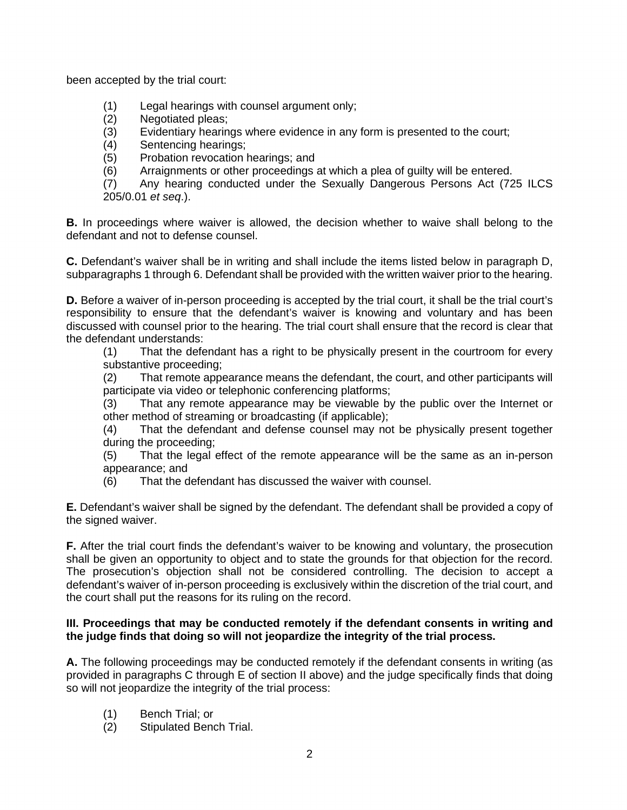been accepted by the trial court:

- (1) Legal hearings with counsel argument only;
- Negotiated pleas;
- (3) Evidentiary hearings where evidence in any form is presented to the court;
- (4) Sentencing hearings;
- Probation revocation hearings; and
- (5) Probation revocation hearings; and<br>(6) Arraignments or other proceedings at which a plea of guilty will be entered.

(7) Any hearing conducted under the Sexually Dangerous Persons Act (725 ILCS [205/0.01](https://205/0.01) *et seq*.).

 defendant and not to defense counsel. **B.** In proceedings where waiver is allowed, the decision whether to waive shall belong to the

**C.** Defendant's waiver shall be in writing and shall include the items listed below in paragraph D, subparagraphs 1 through 6. Defendant shall be provided with the written waiver prior to the hearing.

**D.** Before a waiver of in-person proceeding is accepted by the trial court, it shall be the trial court's responsibility to ensure that the defendant's waiver is knowing and voluntary and has been discussed with counsel prior to the hearing. The trial court shall ensure that the record is clear that the defendant understands:

 (1) That the defendant has a right to be physically present in the courtroom for every substantive proceeding;

(2) That remote appearance means the defendant, the court, and other participants will participate via video or telephonic conferencing platforms;

 (3) That any remote appearance may be viewable by the public over the Internet or other method of streaming or broadcasting (if applicable);

(4) That the defendant and defense counsel may not be physically present together during the proceeding;

 (5) That the legal effect of the remote appearance will be the same as an in-person appearance; and

(6) That the defendant has discussed the waiver with counsel.

 the signed waiver. **E.** Defendant's waiver shall be signed by the defendant. The defendant shall be provided a copy of

 **F.** After the trial court finds the defendant's waiver to be knowing and voluntary, the prosecution shall be given an opportunity to object and to state the grounds for that objection for the record. The prosecution's objection shall not be considered controlling. The decision to accept a defendant's waiver of in-person proceeding is exclusively within the discretion of the trial court, and the court shall put the reasons for its ruling on the record.

### **III. Proceedings that may be conducted remotely if the defendant consents in writing and the judge finds that doing so will not jeopardize the integrity of the trial process.**

 **A.** The following proceedings may be conducted remotely if the defendant consents in writing (as provided in paragraphs C through E of section II above) and the judge specifically finds that doing so will not jeopardize the integrity of the trial process:<br>(1) Bench Trial; or

- 
- (2) Stipulated Bench Trial. 2